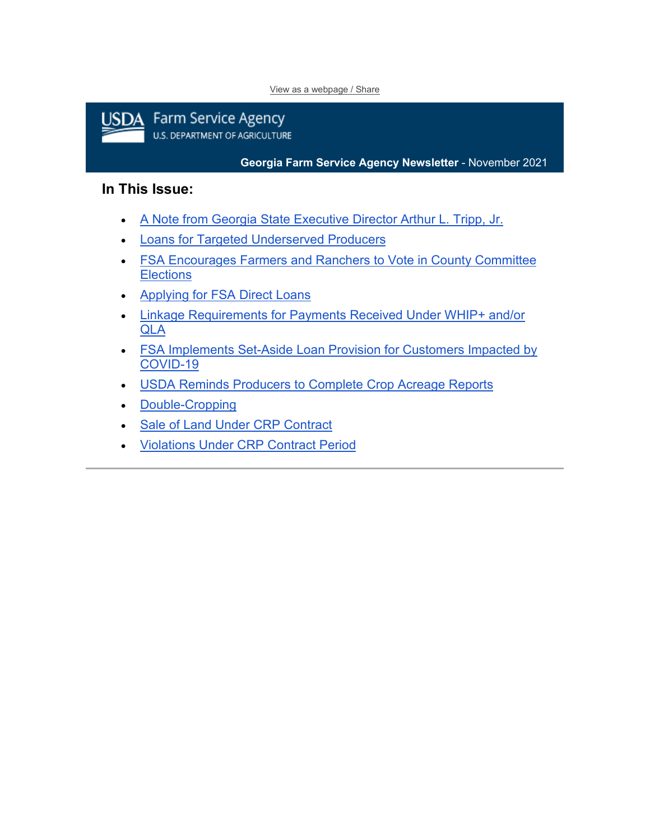#### [View as a webpage / Share](https://lnks.gd/l/eyJhbGciOiJIUzI1NiJ9.eyJidWxsZXRpbl9saW5rX2lkIjoxMDAsInVyaSI6ImJwMjpjbGljayIsImJ1bGxldGluX2lkIjoiMjAyMTExMTYuNDg5MTY5NTEiLCJ1cmwiOiJodHRwczovL2NvbnRlbnQuZ292ZGVsaXZlcnkuY29tL2FjY291bnRzL1VTREFGQVJNRVJTL2J1bGxldGlucy8yZmM3MzdmIn0.53D4lTzqVIAEMv3cURzgeqF3uQ76KsUgbFdgbg9XxuQ/s/1512326346/br/121032629234-l)



**Georgia Farm Service Agency Newsletter** - November 2021

#### **In This Issue:**

- [A Note from Georgia State Executive Director Arthur L. Tripp, Jr.](#page-0-0)
- [Loans for Targeted Underserved Producers](#page-1-0)
- [FSA Encourages Farmers and Ranchers to Vote in County Committee](#page-2-0)  **Elections**
- [Applying for FSA Direct Loans](#page-2-1)
- [Linkage Requirements for Payments Received Under WHIP+ and/or](#page-3-0)  [QLA](#page-3-0)
- [FSA Implements Set-Aside Loan Provision for Customers Impacted by](#page-3-1)  [COVID-19](#page-3-1)
- [USDA Reminds Producers to Complete Crop Acreage Reports](#page-4-0)
- [Double-Cropping](#page-5-0)
- [Sale of Land Under CRP Contract](#page-5-1)
- <span id="page-0-0"></span>• [Violations Under CRP Contract Period](#page-5-2)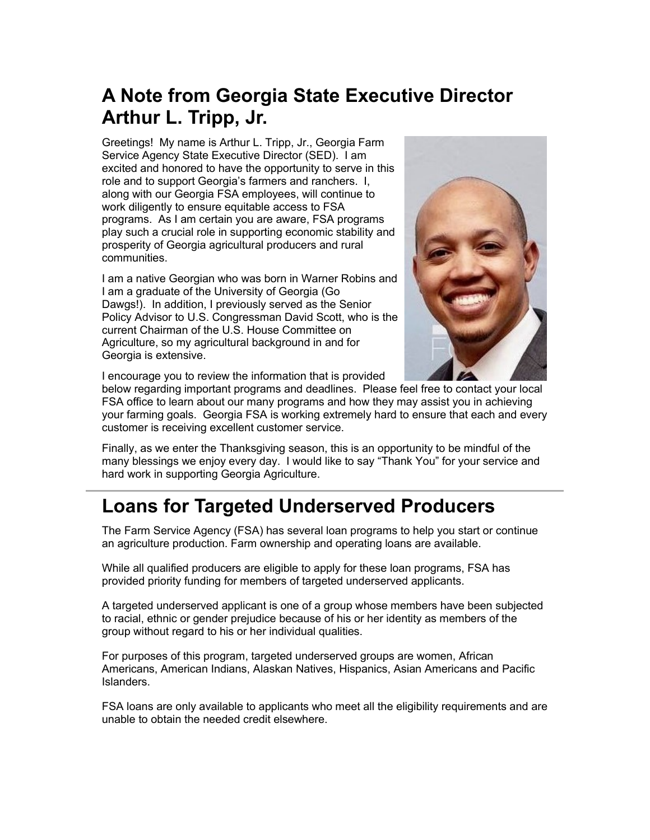# **A Note from Georgia State Executive Director Arthur L. Tripp, Jr.**

Greetings! My name is Arthur L. Tripp, Jr., Georgia Farm Service Agency State Executive Director (SED). I am excited and honored to have the opportunity to serve in this role and to support Georgia's farmers and ranchers. I, along with our Georgia FSA employees, will continue to work diligently to ensure equitable access to FSA programs. As I am certain you are aware, FSA programs play such a crucial role in supporting economic stability and prosperity of Georgia agricultural producers and rural communities.

I am a native Georgian who was born in Warner Robins and I am a graduate of the University of Georgia (Go Dawgs!). In addition, I previously served as the Senior Policy Advisor to U.S. Congressman David Scott, who is the current Chairman of the U.S. House Committee on Agriculture, so my agricultural background in and for Georgia is extensive.



I encourage you to review the information that is provided

below regarding important programs and deadlines. Please feel free to contact your local FSA office to learn about our many programs and how they may assist you in achieving your farming goals. Georgia FSA is working extremely hard to ensure that each and every customer is receiving excellent customer service.

Finally, as we enter the Thanksgiving season, this is an opportunity to be mindful of the many blessings we enjoy every day. I would like to say "Thank You" for your service and hard work in supporting Georgia Agriculture.

## <span id="page-1-0"></span>**Loans for Targeted Underserved Producers**

The Farm Service Agency (FSA) has several loan programs to help you start or continue an agriculture production. Farm ownership and operating loans are available.

While all qualified producers are eligible to apply for these loan programs, FSA has provided priority funding for members of targeted underserved applicants.

A targeted underserved applicant is one of a group whose members have been subjected to racial, ethnic or gender prejudice because of his or her identity as members of the group without regard to his or her individual qualities.

For purposes of this program, targeted underserved groups are women, African Americans, American Indians, Alaskan Natives, Hispanics, Asian Americans and Pacific Islanders.

FSA loans are only available to applicants who meet all the eligibility requirements and are unable to obtain the needed credit elsewhere.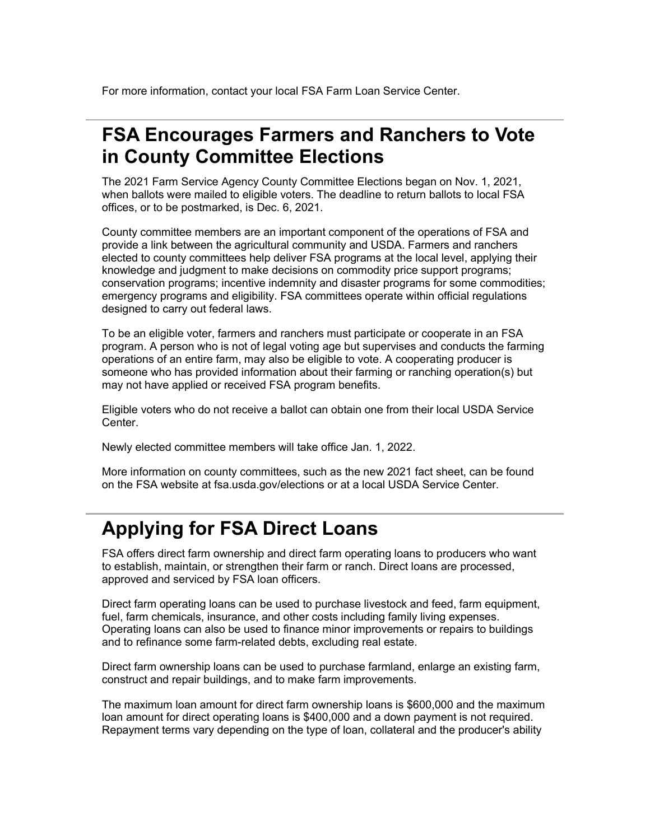For more information, contact your local FSA Farm Loan Service Center.

#### <span id="page-2-0"></span>**FSA Encourages Farmers and Ranchers to Vote in County Committee Elections**

The 2021 Farm Service Agency County Committee Elections began on Nov. 1, 2021, when ballots were mailed to eligible voters. The deadline to return ballots to local FSA offices, or to be postmarked, is Dec. 6, 2021.

County committee members are an important component of the operations of FSA and provide a link between the agricultural community and USDA. Farmers and ranchers elected to county committees help deliver FSA programs at the local level, applying their knowledge and judgment to make decisions on commodity price support programs; conservation programs; incentive indemnity and disaster programs for some commodities; emergency programs and eligibility. FSA committees operate within official regulations designed to carry out federal laws.

To be an eligible voter, farmers and ranchers must participate or cooperate in an FSA program. A person who is not of legal voting age but supervises and conducts the farming operations of an entire farm, may also be eligible to vote. A cooperating producer is someone who has provided information about their farming or ranching operation(s) but may not have applied or received FSA program benefits.

Eligible voters who do not receive a ballot can obtain one from their local USDA Service Center.

Newly elected committee members will take office Jan. 1, 2022.

More information on county committees, such as the new 2021 fact sheet, can be found on the FSA website at fsa.usda.gov/elections or at a local USDA Service Center.

#### <span id="page-2-1"></span>**Applying for FSA Direct Loans**

FSA offers direct farm ownership and direct farm operating loans to producers who want to establish, maintain, or strengthen their farm or ranch. Direct loans are processed, approved and serviced by FSA loan officers.

Direct farm operating loans can be used to purchase livestock and feed, farm equipment, fuel, farm chemicals, insurance, and other costs including family living expenses. Operating loans can also be used to finance minor improvements or repairs to buildings and to refinance some farm-related debts, excluding real estate.

Direct farm ownership loans can be used to purchase farmland, enlarge an existing farm, construct and repair buildings, and to make farm improvements.

The maximum loan amount for direct farm ownership loans is \$600,000 and the maximum loan amount for direct operating loans is \$400,000 and a down payment is not required. Repayment terms vary depending on the type of loan, collateral and the producer's ability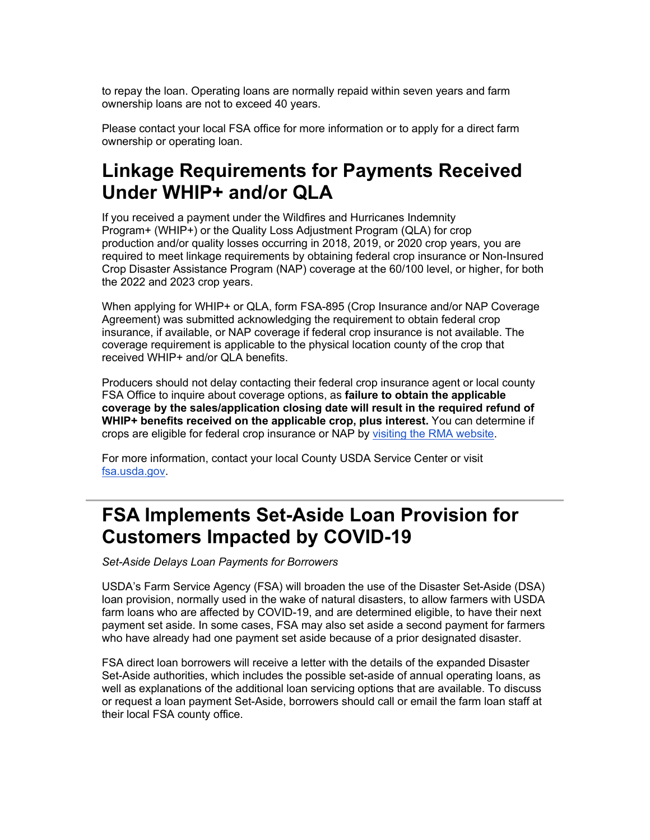to repay the loan. Operating loans are normally repaid within seven years and farm ownership loans are not to exceed 40 years.

Please contact your local FSA office for more information or to apply for a direct farm ownership or operating loan.

## <span id="page-3-0"></span>**Linkage Requirements for Payments Received Under WHIP+ and/or QLA**

If you received a payment under the Wildfires and Hurricanes Indemnity Program+ (WHIP+) or the Quality Loss Adjustment Program (QLA) for crop production and/or quality losses occurring in 2018, 2019, or 2020 crop years, you are required to meet linkage requirements by obtaining federal crop insurance or Non-Insured Crop Disaster Assistance Program (NAP) coverage at the 60/100 level, or higher, for both the 2022 and 2023 crop years.

When applying for WHIP+ or QLA, form FSA-895 (Crop Insurance and/or NAP Coverage Agreement) was submitted acknowledging the requirement to obtain federal crop insurance, if available, or NAP coverage if federal crop insurance is not available. The coverage requirement is applicable to the physical location county of the crop that received WHIP+ and/or QLA benefits.

Producers should not delay contacting their federal crop insurance agent or local county FSA Office to inquire about coverage options, as **failure to obtain the applicable coverage by the sales/application closing date will result in the required refund of WHIP+ benefits received on the applicable crop, plus interest.** You can determine if crops are eligible for federal crop insurance or NAP by [visiting the RMA website.](https://lnks.gd/l/eyJhbGciOiJIUzI1NiJ9.eyJidWxsZXRpbl9saW5rX2lkIjoxMDEsInVyaSI6ImJwMjpjbGljayIsImJ1bGxldGluX2lkIjoiMjAyMTExMTYuNDg5MTY5NTEiLCJ1cmwiOiJodHRwczovL2djYzAyLnNhZmVsaW5rcy5wcm90ZWN0aW9uLm91dGxvb2suY29tLz9kYXRhPTA0JTdDMDElN0MlN0M5ZGUwMzUxZTYyM2M0Mjg1MDgyNzA4ZDlhNDYzZTE0NCU3Q2VkNWIzNmU3MDFlZTRlYmM4NjdlZTAzY2ZhMGQ0Njk3JTdDMCU3QzAlN0M2Mzc3MjE1NzExNDg5MDAyMDUlN0NVbmtub3duJTdDVFdGcGJHWnNiM2Q4ZXlKV0lqb2lNQzR3TGpBd01EQWlMQ0pRSWpvaVYybHVNeklpTENKQlRpSTZJazFoYVd3aUxDSlhWQ0k2TW4wJTNEJTdDMTAwMCZyZXNlcnZlZD0wJnNkYXRhPWZXcjBpSDlZTW51YThoZGFuSW91Y1JVNzhtREdiaWo1a0w2Z2hzN0xvTmclM0QmdXJsPWh0dHBzJTNBJTJGJTJGd2ViYXBwLnJtYS51c2RhLmdvdiUyRmFwcHMlMkZBY3R1YXJpYWxJbmZvcm1hdGlvbkJyb3dzZXIyMDE4JTJGQ3JvcENyaXRlcmlhLmFzcHglM0Z1dG1fbWVkaXVtJTNEZW1haWwlMjZ1dG1fc291cmNlJTNEZ292ZGVsaXZlcnkmdXRtX21lZGl1bT1lbWFpbCZ1dG1fc291cmNlPWdvdmRlbGl2ZXJ5In0.ORex_537d25D0uZcYOOlGGZiJF-CcYj-KAPNkF4Cw84/s/1512326346/br/121032629234-l)

For more information, contact your local County USDA Service Center or visit [fsa.usda.gov.](https://lnks.gd/l/eyJhbGciOiJIUzI1NiJ9.eyJidWxsZXRpbl9saW5rX2lkIjoxMDIsInVyaSI6ImJwMjpjbGljayIsImJ1bGxldGluX2lkIjoiMjAyMTExMTYuNDg5MTY5NTEiLCJ1cmwiOiJodHRwczovL2djYzAyLnNhZmVsaW5rcy5wcm90ZWN0aW9uLm91dGxvb2suY29tLz9kYXRhPTA0JTdDMDElN0MlN0M5ZGUwMzUxZTYyM2M0Mjg1MDgyNzA4ZDlhNDYzZTE0NCU3Q2VkNWIzNmU3MDFlZTRlYmM4NjdlZTAzY2ZhMGQ0Njk3JTdDMCU3QzAlN0M2Mzc3MjE1NzExNDg5MTAxNzMlN0NVbmtub3duJTdDVFdGcGJHWnNiM2Q4ZXlKV0lqb2lNQzR3TGpBd01EQWlMQ0pRSWpvaVYybHVNeklpTENKQlRpSTZJazFoYVd3aUxDSlhWQ0k2TW4wJTNEJTdDMTAwMCZyZXNlcnZlZD0wJnNkYXRhPUJ6MENOdFoyT0pCamxpVVBlYUVUMjlXZHZFZHZxeXBpT3dsN1ZJVW0lMkZrWSUzRCZ1cmw9aHR0cCUzQSUyRiUyRnd3dy5mc2EudXNkYS5nb3YlMkYlM0Z1dG1fbWVkaXVtJTNEZW1haWwlMjZ1dG1fc291cmNlJTNEZ292ZGVsaXZlcnkmdXRtX21lZGl1bT1lbWFpbCZ1dG1fc291cmNlPWdvdmRlbGl2ZXJ5In0.-v4soNWX68-OXh0_1AlakC69U18nv70HGIu93YQPWWg/s/1512326346/br/121032629234-l)

#### <span id="page-3-1"></span>**FSA Implements Set-Aside Loan Provision for Customers Impacted by COVID-19**

*Set-Aside Delays Loan Payments for Borrowers*

USDA's Farm Service Agency (FSA) will broaden the use of the Disaster Set-Aside (DSA) loan provision, normally used in the wake of natural disasters, to allow farmers with USDA farm loans who are affected by COVID-19, and are determined eligible, to have their next payment set aside. In some cases, FSA may also set aside a second payment for farmers who have already had one payment set aside because of a prior designated disaster.

FSA direct loan borrowers will receive a letter with the details of the expanded Disaster Set-Aside authorities, which includes the possible set-aside of annual operating loans, as well as explanations of the additional loan servicing options that are available. To discuss or request a loan payment Set-Aside, borrowers should call or email the farm loan staff at their local FSA county office.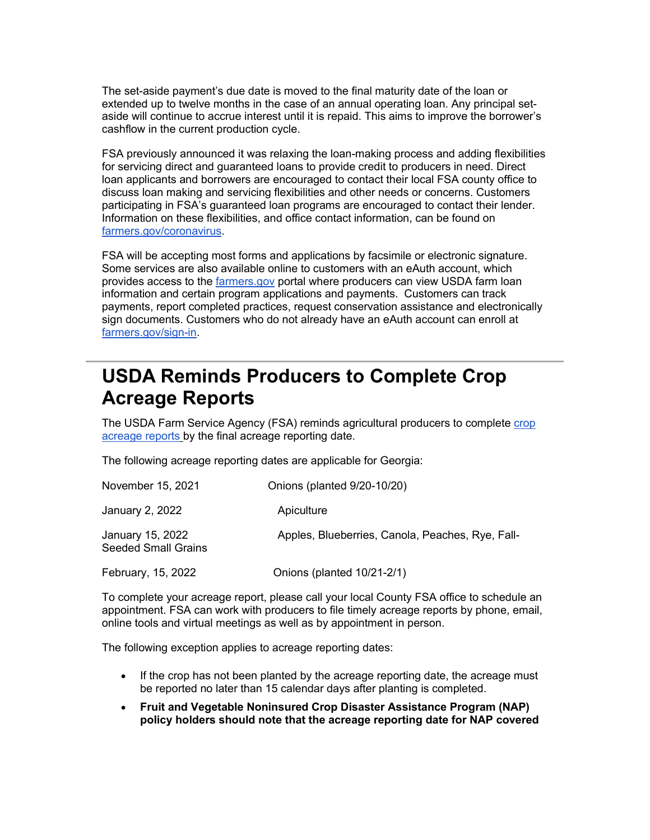The set-aside payment's due date is moved to the final maturity date of the loan or extended up to twelve months in the case of an annual operating loan. Any principal setaside will continue to accrue interest until it is repaid. This aims to improve the borrower's cashflow in the current production cycle.

FSA previously announced it was relaxing the loan-making process and adding flexibilities for servicing direct and guaranteed loans to provide credit to producers in need. Direct loan applicants and borrowers are encouraged to contact their local FSA county office to discuss loan making and servicing flexibilities and other needs or concerns. Customers participating in FSA's guaranteed loan programs are encouraged to contact their lender. Information on these flexibilities, and office contact information, can be found on [farmers.gov/coronavirus.](https://lnks.gd/l/eyJhbGciOiJIUzI1NiJ9.eyJidWxsZXRpbl9saW5rX2lkIjoxMDMsInVyaSI6ImJwMjpjbGljayIsImJ1bGxldGluX2lkIjoiMjAyMTExMTYuNDg5MTY5NTEiLCJ1cmwiOiJodHRwOi8vd3d3LmZhcm1lcnMuZ292L2Nvcm9uYXZpcnVzP3V0bV9tZWRpdW09ZW1haWwmdXRtX3NvdXJjZT1nb3ZkZWxpdmVyeSJ9.OYiRZ09uSS9sKcugcJxjcw5jja_KE0AhwLNvkfE6Hf8/s/1512326346/br/121032629234-l)

FSA will be accepting most forms and applications by facsimile or electronic signature. Some services are also available online to customers with an eAuth account, which provides access to the [farmers.gov](https://lnks.gd/l/eyJhbGciOiJIUzI1NiJ9.eyJidWxsZXRpbl9saW5rX2lkIjoxMDQsInVyaSI6ImJwMjpjbGljayIsImJ1bGxldGluX2lkIjoiMjAyMTExMTYuNDg5MTY5NTEiLCJ1cmwiOiJodHRwOi8vd3d3LmZhcm1lcnMuZ292P3V0bV9tZWRpdW09ZW1haWwmdXRtX3NvdXJjZT1nb3ZkZWxpdmVyeSJ9.51r9gHWcT5g6MRWrqexJQ7xWyjmb7-owCDfGxv_OtBg/s/1512326346/br/121032629234-l) portal where producers can view USDA farm loan information and certain program applications and payments. Customers can track payments, report completed practices, request conservation assistance and electronically sign documents. Customers who do not already have an eAuth account can enroll at [farmers.gov/sign-in.](https://lnks.gd/l/eyJhbGciOiJIUzI1NiJ9.eyJidWxsZXRpbl9saW5rX2lkIjoxMDUsInVyaSI6ImJwMjpjbGljayIsImJ1bGxldGluX2lkIjoiMjAyMTExMTYuNDg5MTY5NTEiLCJ1cmwiOiJodHRwczovL3d3dy5mYXJtZXJzLmdvdi9zaWduLWluP3V0bV9tZWRpdW09ZW1haWwmdXRtX3NvdXJjZT1nb3ZkZWxpdmVyeSJ9.6WDemiXyfNYaGtNt6SGiIvmFZOHUCnbeAVYFWgc6dhQ/s/1512326346/br/121032629234-l)

#### <span id="page-4-0"></span>**USDA Reminds Producers to Complete Crop Acreage Reports**

The USDA Farm Service Agency (FSA) reminds agricultural producers to complete [crop](https://lnks.gd/l/eyJhbGciOiJIUzI1NiJ9.eyJidWxsZXRpbl9saW5rX2lkIjoxMDYsInVyaSI6ImJwMjpjbGljayIsImJ1bGxldGluX2lkIjoiMjAyMTExMTYuNDg5MTY5NTEiLCJ1cmwiOiJodHRwczovL3d3dy5mYXJtZXJzLmdvdi9jcm9wLWFjcmVhZ2UtcmVwb3J0cz91dG1fbWVkaXVtPWVtYWlsJnV0bV9zb3VyY2U9Z292ZGVsaXZlcnkifQ.7sRUoV4gPcnG9QYoNk0Ds3NWQEs-ujP9csHqA-m_pDw/s/1512326346/br/121032629234-l)  [acreage reports](https://lnks.gd/l/eyJhbGciOiJIUzI1NiJ9.eyJidWxsZXRpbl9saW5rX2lkIjoxMDYsInVyaSI6ImJwMjpjbGljayIsImJ1bGxldGluX2lkIjoiMjAyMTExMTYuNDg5MTY5NTEiLCJ1cmwiOiJodHRwczovL3d3dy5mYXJtZXJzLmdvdi9jcm9wLWFjcmVhZ2UtcmVwb3J0cz91dG1fbWVkaXVtPWVtYWlsJnV0bV9zb3VyY2U9Z292ZGVsaXZlcnkifQ.7sRUoV4gPcnG9QYoNk0Ds3NWQEs-ujP9csHqA-m_pDw/s/1512326346/br/121032629234-l) by the final acreage reporting date.

The following acreage reporting dates are applicable for Georgia:

| November 15, 2021                              | Onions (planted 9/20-10/20)                      |
|------------------------------------------------|--------------------------------------------------|
| January 2, 2022                                | Apiculture                                       |
| January 15, 2022<br><b>Seeded Small Grains</b> | Apples, Blueberries, Canola, Peaches, Rye, Fall- |
| February, 15, 2022                             | Onions (planted 10/21-2/1)                       |

To complete your acreage report, please call your local County FSA office to schedule an appointment. FSA can work with producers to file timely acreage reports by phone, email, online tools and virtual meetings as well as by appointment in person.

The following exception applies to acreage reporting dates:

- If the crop has not been planted by the acreage reporting date, the acreage must be reported no later than 15 calendar days after planting is completed.
- **Fruit and Vegetable Noninsured Crop Disaster Assistance Program (NAP) policy holders should note that the acreage reporting date for NAP covered**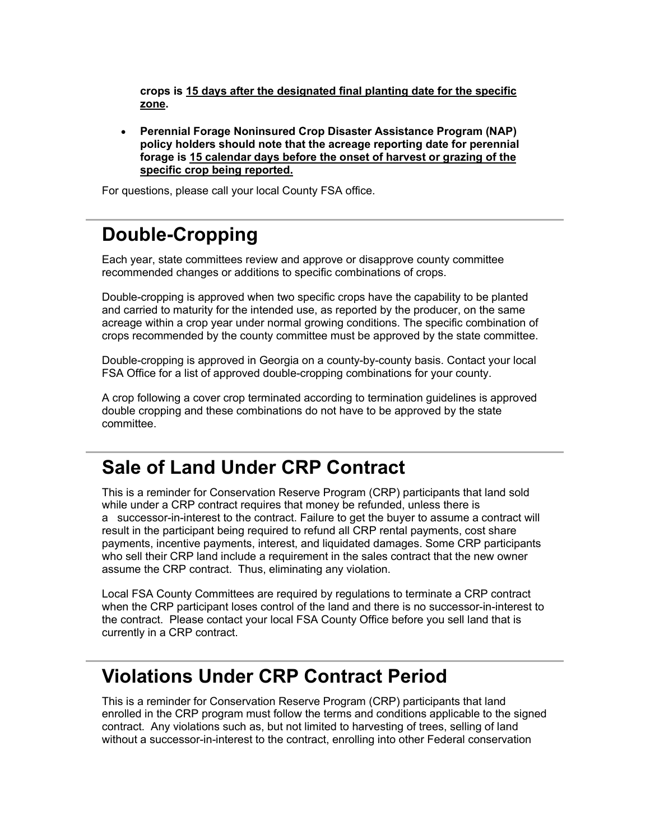**crops is 15 days after the designated final planting date for the specific zone.**

• **Perennial Forage Noninsured Crop Disaster Assistance Program (NAP) policy holders should note that the acreage reporting date for perennial forage is 15 calendar days before the onset of harvest or grazing of the specific crop being reported.**

For questions, please call your local County FSA office.

#### <span id="page-5-0"></span>**Double-Cropping**

Each year, state committees review and approve or disapprove county committee recommended changes or additions to specific combinations of crops.

Double-cropping is approved when two specific crops have the capability to be planted and carried to maturity for the intended use, as reported by the producer, on the same acreage within a crop year under normal growing conditions. The specific combination of crops recommended by the county committee must be approved by the state committee.

Double-cropping is approved in Georgia on a county-by-county basis. Contact your local FSA Office for a list of approved double-cropping combinations for your county.

A crop following a cover crop terminated according to termination guidelines is approved double cropping and these combinations do not have to be approved by the state committee.

#### <span id="page-5-1"></span>**Sale of Land Under CRP Contract**

This is a reminder for Conservation Reserve Program (CRP) participants that land sold while under a CRP contract requires that money be refunded, unless there is a successor-in-interest to the contract. Failure to get the buyer to assume a contract will result in the participant being required to refund all CRP rental payments, cost share payments, incentive payments, interest, and liquidated damages. Some CRP participants who sell their CRP land include a requirement in the sales contract that the new owner assume the CRP contract. Thus, eliminating any violation.

Local FSA County Committees are required by regulations to terminate a CRP contract when the CRP participant loses control of the land and there is no successor-in-interest to the contract. Please contact your local FSA County Office before you sell land that is currently in a CRP contract.

#### <span id="page-5-2"></span>**Violations Under CRP Contract Period**

This is a reminder for Conservation Reserve Program (CRP) participants that land enrolled in the CRP program must follow the terms and conditions applicable to the signed contract. Any violations such as, but not limited to harvesting of trees, selling of land without a successor-in-interest to the contract, enrolling into other Federal conservation